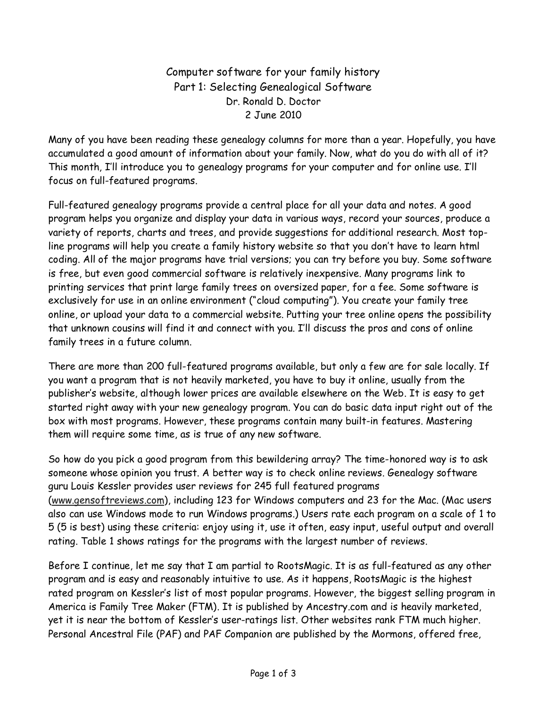Computer software for your family history Part 1: Selecting Genealogical Software Dr. Ronald D. Doctor 2 June 2010

Many of you have been reading these genealogy columns for more than a year. Hopefully, you have accumulated a good amount of information about your family. Now, what do you do with all of it? This month, I'll introduce you to genealogy programs for your computer and for online use. I'll focus on full-featured programs.

Full-featured genealogy programs provide a central place for all your data and notes. A good program helps you organize and display your data in various ways, record your sources, produce a variety of reports, charts and trees, and provide suggestions for additional research. Most topline programs will help you create a family history website so that you don't have to learn html coding. All of the major programs have trial versions; you can try before you buy. Some software is free, but even good commercial software is relatively inexpensive. Many programs link to printing services that print large family trees on oversized paper, for a fee. Some software is exclusively for use in an online environment ("cloud computing"). You create your family tree online, or upload your data to a commercial website. Putting your tree online opens the possibility that unknown cousins will find it and connect with you. I'll discuss the pros and cons of online family trees in a future column.

There are more than 200 full-featured programs available, but only a few are for sale locally. If you want a program that is not heavily marketed, you have to buy it online, usually from the publisher's website, although lower prices are available elsewhere on the Web. It is easy to get started right away with your new genealogy program. You can do basic data input right out of the box with most programs. However, these programs contain many built-in features. Mastering them will require some time, as is true of any new software.

So how do you pick a good program from this bewildering array? The time-honored way is to ask someone whose opinion you trust. A better way is to check online reviews. Genealogy software guru Louis Kessler provides user reviews for 245 full featured programs (www.gensoftreviews.com), including 123 for Windows computers and 23 for the Mac. (Mac users also can use Windows mode to run Windows programs.) Users rate each program on a scale of 1 to 5 (5 is best) using these criteria: enjoy using it, use it often, easy input, useful output and overall rating. Table 1 shows ratings for the programs with the largest number of reviews.

Before I continue, let me say that I am partial to RootsMagic. It is as full-featured as any other program and is easy and reasonably intuitive to use. As it happens, RootsMagic is the highest rated program on Kessler's list of most popular programs. However, the biggest selling program in America is Family Tree Maker (FTM). It is published by Ancestry.com and is heavily marketed, yet it is near the bottom of Kessler's user-ratings list. Other websites rank FTM much higher. Personal Ancestral File (PAF) and PAF Companion are published by the Mormons, offered free,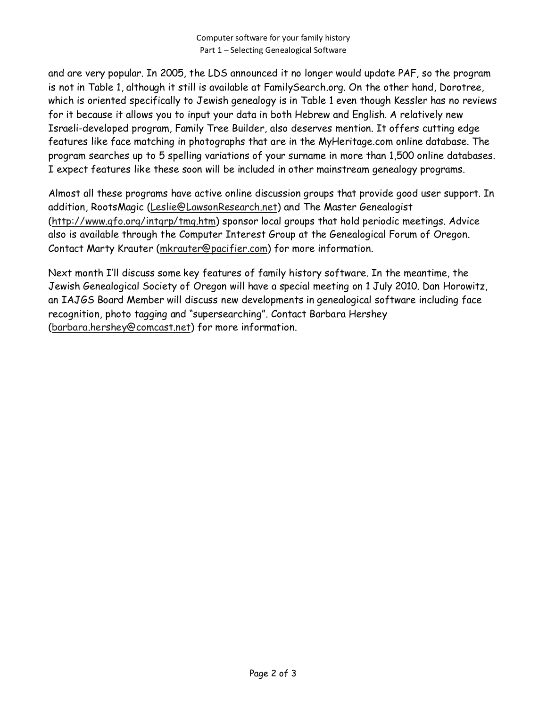and are very popular. In 2005, the LDS announced it no longer would update PAF, so the program is not in Table 1, although it still is available at FamilySearch.org. On the other hand, Dorotree, which is oriented specifically to Jewish genealogy is in Table 1 even though Kessler has no reviews for it because it allows you to input your data in both Hebrew and English. A relatively new Israeli-developed program, Family Tree Builder, also deserves mention. It offers cutting edge features like face matching in photographs that are in the MyHeritage.com online database. The program searches up to 5 spelling variations of your surname in more than 1,500 online databases. I expect features like these soon will be included in other mainstream genealogy programs.

Almost all these programs have active online discussion groups that provide good user support. In addition, RootsMagic (Leslie@LawsonResearch.net) and The Master Genealogist (http://www.gfo.org/intgrp/tmg.htm) sponsor local groups that hold periodic meetings. Advice also is available through the Computer Interest Group at the Genealogical Forum of Oregon. Contact Marty Krauter (mkrauter@pacifier.com) for more information.

Next month I'll discuss some key features of family history software. In the meantime, the Jewish Genealogical Society of Oregon will have a special meeting on 1 July 2010. Dan Horowitz, an IAJGS Board Member will discuss new developments in genealogical software including face recognition, photo tagging and "supersearching". Contact Barbara Hershey (barbara.hershey@comcast.net) for more information.